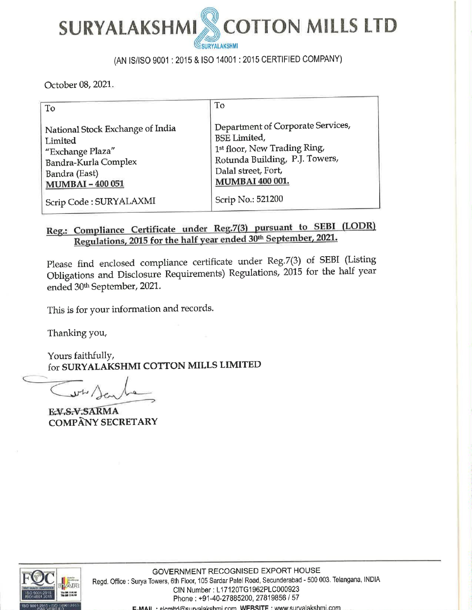

## (AN IS/ISO 9001 : 2015 & ISO 14001 : 2015 CERTIFIED COMPANY)

October 08, 2021.

| To                                                                                                                                                                                                                                                                                 | To                                                                                                                                                                                                                                 |
|------------------------------------------------------------------------------------------------------------------------------------------------------------------------------------------------------------------------------------------------------------------------------------|------------------------------------------------------------------------------------------------------------------------------------------------------------------------------------------------------------------------------------|
| National Stock Exchange of India<br>Limited<br>"Exchange Plaza"<br>Bandra-Kurla Complex<br>Bandra (East)<br><b>MUMBAI-400051</b><br>Scrip Code: SURYALAXMI                                                                                                                         | Department of Corporate Services,<br><b>BSE</b> Limited,<br>1st floor, New Trading Ring,<br>Rotunda Building, P.J. Towers,<br>Dalal street, Fort,<br>MUMBAI 400 001.<br>Scrip No.: 521200                                          |
| Regulations, 2015 for the half year ended 30 <sup>th</sup> September, 2021.<br>ended 30th September, 2021.<br>This is for your information and records.<br>Thanking you,<br>Yours faithfully,<br>for SURYALAKSHMI COTTON MILLS LIMITED<br>EV.S.V.SARMA<br><b>COMPÂNY SECRETARY</b> | Reg.: Compliance Certificate under Reg.7(3) pursuant to SEBI (LODR)<br>Please find enclosed compliance certificate under Reg.7(3) of SEBI (Listing<br>Obligations and Disclosure Requirements) Regulations, 2015 for the half year |
|                                                                                                                                                                                                                                                                                    |                                                                                                                                                                                                                                    |

# Reg.: Compliance Certificate under Reg.7(3) pursuant to SEBI (LODR) Regulations, 2015 for the half year ended 30<sup>th</sup> September, 2021.

EX.S.V.SARMA<br>COMPANY SECRETARY